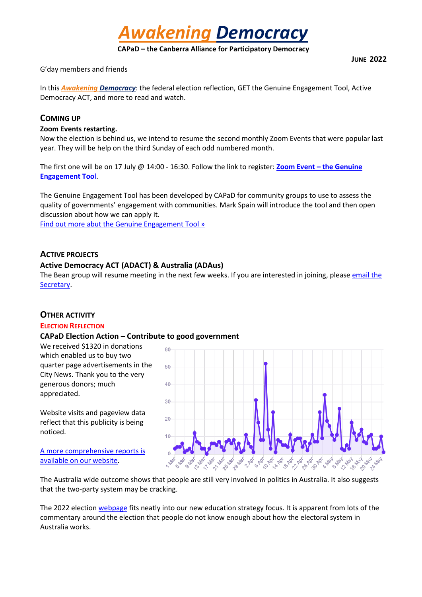*Awakening Democracy*

**CAPaD – the Canberra Alliance for Participatory Democracy**

G'day members and friends

In this *Awakening Democracy*: the federal election reflection, GET the Genuine Engagement Tool, Active Democracy ACT, and more to read and watch.

# **COMING UP**

#### **Zoom Events restarting.**

Now the election is behind us, we intend to resume the second monthly Zoom Events that were popular last year. They will be help on the third Sunday of each odd numbered month.

The first one will be on 17 July @ 14:00 - 16:30. Follow the link to register: **Zoom Event – the Genuine Engagement Too**l.

The Genuine Engagement Tool has been developed by CAPaD for community groups to use to assess the quality of governments' engagement with communities. Mark Spain will introduce the tool and then open discussion about how we can apply it.

Find out more abut the Genuine Engagement Tool »

# **ACTIVE PROJECTS**

# **Active Democracy ACT (ADACT) & Australia (ADAus)**

The Bean group will resume meeting in the next few weeks. If you are interested in joining, please email the Secretary.

# **OTHER ACTIVITY**

#### **ELECTION REFLECTION**

#### **CAPaD Election Action – Contribute to good government**

We received \$1320 in donations which enabled us to buy two quarter page advertisements in the City News. Thank you to the very generous donors; much appreciated.

Website visits and pageview data reflect that this publicity is being noticed.

A more comprehensive reports is available on our website.



The Australia wide outcome shows that people are still very involved in politics in Australia. It also suggests that the two-party system may be cracking.

The 2022 election webpage fits neatly into our new education strategy focus. It is apparent from lots of the commentary around the election that people do not know enough about how the electoral system in Australia works.